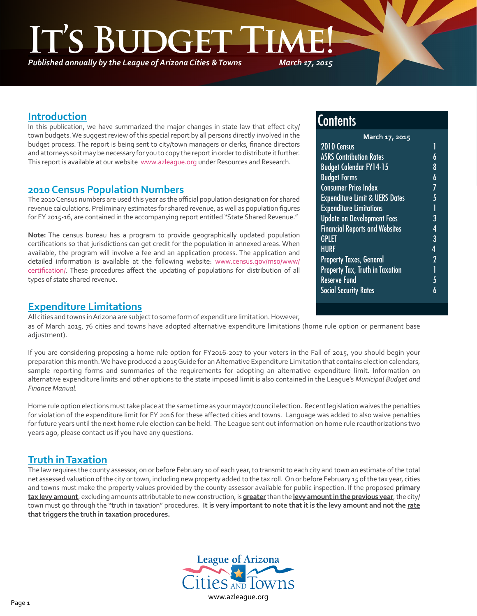*Published annually by the League of Arizona Cities & Towns*

*March 17, 2015*

#### **Introduction**

٦

In this publication, we have summarized the major changes in state law that effect city/ town budgets. We suggest review of this special report by all persons directly involved in the budget process. The report is being sent to city/town managers or clerks, finance directors and attorneys so it may be necessary for you to copy the report in order to distribute it further. This report is available at our website [www.azleague.org](http://www.azleague.org) under Resources and Research.

#### **2010 Census Population Numbers**

The 2010 Census numbers are used this year as the official population designation for shared revenue calculations. Preliminary estimates for shared revenue, as well as population figures for FY 2015-16, are contained in the accompanying report entitled "State Shared Revenue."

**Note:** The census bureau has a program to provide geographically updated population certifications so that jurisdictions can get credit for the population in annexed areas. When available, the program will involve a fee and an application process. The application and detailed information is available at the following website: [www.census.gov/mso/www/](http://www.census.gov/mso/www/certification/) [certification/](http://www.census.gov/mso/www/certification/). These procedures affect the updating of populations for distribution of all types of state shared revenue.

#### **Expenditure Limitations**

All cities and towns in Arizona are subject to some form of expenditure limitation. However, as of March 2015, 76 cities and towns have adopted alternative expenditure limitations (home rule option or permanent base adjustment).

If you are considering proposing a home rule option for FY2016-2017 to your voters in the Fall of 2015, you should begin your preparation this month. We have produced a 2015 Guide for an Alternative Expenditure Limitation that contains election calendars, sample reporting forms and summaries of the requirements for adopting an alternative expenditure limit. Information on alternative expenditure limits and other options to the state imposed limit is also contained in the League's *Municipal Budget and Finance Manual.*

Home rule option elections must take place at the same time as your mayor/council election. Recent legislation waives the penalties for violation of the expenditure limit for FY 2016 for these affected cities and towns. Language was added to also waive penalties for future years until the next home rule election can be held. The League sent out information on home rule reauthorizations two years ago, please contact us if you have any questions.

### **Truth in Taxation**

The law requires the county assessor, on or before February 10 of each year, to transmit to each city and town an estimate of the total net assessed valuation of the city or town, including new property added to the tax roll. On or before February 15 of the tax year, cities and towns must make the property values provided by the county assessor available for public inspection. If the proposed **primary tax levy amount**, excluding amounts attributable to new construction, is **greater** than the **levy amount in the previous year**, the city/ town must go through the "truth in taxation" procedures. **It is very important to note that it is the levy amount and not the rate that triggers the truth in taxation procedures.** 



## **Contents**

| March 17, 2015                            |                |  |
|-------------------------------------------|----------------|--|
| 2010 Census                               | 1              |  |
| <b>ASRS Contribution Rates</b>            | 6              |  |
| <b>Budget Calendar FY14-15</b>            | 8              |  |
| <b>Budget Forms</b>                       | 6              |  |
| <b>Consumer Price Index</b>               | 7              |  |
| <b>Expenditure Limit &amp; UERS Dates</b> | 5              |  |
| <b>Expenditure Limitations</b>            | 1              |  |
| <b>Update on Development Fees</b>         | 3              |  |
| <b>Financial Reports and Websites</b>     | 4              |  |
| <b>GPLET</b>                              | 3              |  |
| <b>HURF</b>                               | 4              |  |
| <b>Property Taxes, General</b>            | $\overline{2}$ |  |
| Property Tax, Truth in Taxation           | 1              |  |
| <b>Reserve Fund</b>                       | 5              |  |
| <b>Social Security Rates</b>              |                |  |
|                                           |                |  |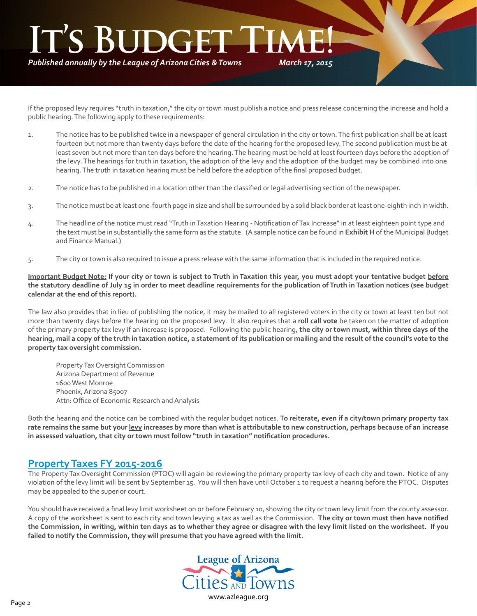# *March 17, 2015* **It's Budget Time!**

*Published annually by the League of Arizona Cities & Towns*

If the proposed levy requires "truth in taxation," the city or town must publish a notice and press release concerning the increase and hold a public hearing. The following apply to these requirements:

- 1. The notice has to be published twice in a newspaper of general circulation in the city or town. The first publication shall be at least fourteen but not more than twenty days before the date of the hearing for the proposed levy. The second publication must be at least seven but not more than ten days before the hearing. The hearing must be held at least fourteen days before the adoption of the levy. The hearings for truth in taxation, the adoption of the levy and the adoption of the budget may be combined into one hearing. The truth in taxation hearing must be held before the adoption of the final proposed budget.
- 2. The notice has to be published in a location other than the classified or legal advertising section of the newspaper.
- 3. The notice must be at least one-fourth page in size and shall be surrounded by a solid black border at least one-eighth inch in width.
- 4. The headline of the notice must read "Truth in Taxation Hearing Notification of Tax Increase" in at least eighteen point type and the text must be in substantially the same form as the statute. (A sample notice can be found in **Exhibit H** of the Municipal Budget and Finance Manual.)
- 5. The city or town is also required to issue a press release with the same information that is included in the required notice.

**Important Budget Note: If your city or town is subject to Truth in Taxation this year, you must adopt your tentative budget before the statutory deadline of July 15 in order to meet deadline requirements for the publication of Truth in Taxation notices (see budget calendar at the end of this report).**

The law also provides that in lieu of publishing the notice, it may be mailed to all registered voters in the city or town at least ten but not more than twenty days before the hearing on the proposed levy. It also requires that a **roll call vote** be taken on the matter of adoption of the primary property tax levy if an increase is proposed. Following the public hearing, **the city or town must, within three days of the hearing, mail a copy of the truth in taxation notice, a statement of its publication or mailing and the result of the council's vote to the property tax oversight commission.**

Property Tax Oversight Commission Arizona Department of Revenue 1600 West Monroe Phoenix, Arizona 85007 Attn: Office of Economic Research and Analysis

Both the hearing and the notice can be combined with the regular budget notices. **To reiterate, even if a city/town primary property tax rate remains the same but your levy increases by more than what is attributable to new construction, perhaps because of an increase in assessed valuation, that city or town must follow "truth in taxation" notification procedures.**

#### **Property Taxes FY 2015-2016**

The Property Tax Oversight Commission (PTOC) will again be reviewing the primary property tax levy of each city and town. Notice of any violation of the levy limit will be sent by September 15. You will then have until October 1 to request a hearing before the PTOC. Disputes may be appealed to the superior court.

You should have received a final levy limit worksheet on or before February 10, showing the city or town levy limit from the county assessor. A copy of the worksheet is sent to each city and town levying a tax as well as the Commission. **The city or town must then have notified the Commission, in writing, within ten days as to whether they agree or disagree with the levy limit listed on the worksheet. If you failed to notify the Commission, they will presume that you have agreed with the limit.**

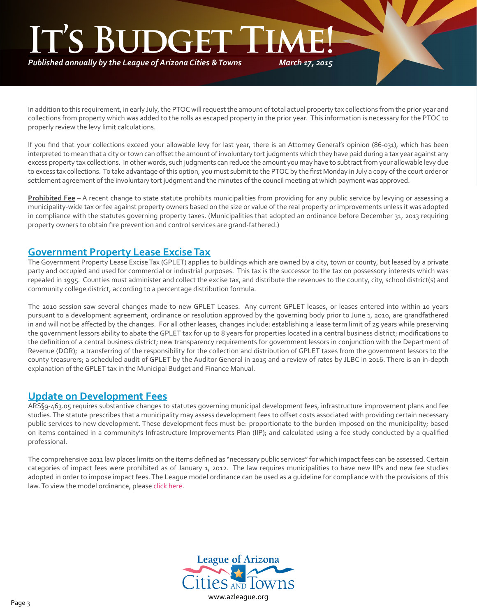# *March 17, 2015* **It's Budget Time!**

*Published annually by the League of Arizona Cities & Towns*

In addition to this requirement, in early July, the PTOC will request the amount of total actual property tax collections from the prior year and collections from property which was added to the rolls as escaped property in the prior year. This information is necessary for the PTOC to properly review the levy limit calculations.

If you find that your collections exceed your allowable levy for last year, there is an Attorney General's opinion (86-031), which has been interpreted to mean that a city or town can offset the amount of involuntary tort judgments which they have paid during a tax year against any excess property tax collections. In other words, such judgments can reduce the amount you may have to subtract from your allowable levy due to excess tax collections. To take advantage of this option, you must submit to the PTOC by the first Monday in July a copy of the court order or settlement agreement of the involuntary tort judgment and the minutes of the council meeting at which payment was approved.

**Prohibited Fee** – A recent change to state statute prohibits municipalities from providing for any public service by levying or assessing a municipality-wide tax or fee against property owners based on the size or value of the real property or improvements unless it was adopted in compliance with the statutes governing property taxes. (Municipalities that adopted an ordinance before December 31, 2013 requiring property owners to obtain fire prevention and control services are grand-fathered.)

### **Government Property Lease Excise Tax**

The Government Property Lease Excise Tax (GPLET) applies to buildings which are owned by a city, town or county, but leased by a private party and occupied and used for commercial or industrial purposes. This tax is the successor to the tax on possessory interests which was repealed in 1995. Counties must administer and collect the excise tax, and distribute the revenues to the county, city, school district(s) and community college district, according to a percentage distribution formula.

The 2010 session saw several changes made to new GPLET Leases. Any current GPLET leases, or leases entered into within 10 years pursuant to a development agreement, ordinance or resolution approved by the governing body prior to June 1, 2010, are grandfathered in and will not be affected by the changes. For all other leases, changes include: establishing a lease term limit of 25 years while preserving the government lessors ability to abate the GPLET tax for up to 8 years for properties located in a central business district; modifications to the definition of a central business district; new transparency requirements for government lessors in conjunction with the Department of Revenue (DOR); a transferring of the responsibility for the collection and distribution of GPLET taxes from the government lessors to the county treasurers; a scheduled audit of GPLET by the Auditor General in 2015 and a review of rates by JLBC in 2016. There is an in-depth explanation of the GPLET tax in the Municipal Budget and Finance Manual.

#### **Update on Development Fees**

ARS§9-463.05 requires substantive changes to statutes governing municipal development fees, infrastructure improvement plans and fee studies. The statute prescribes that a municipality may assess development fees to offset costs associated with providing certain necessary public services to new development. These development fees must be: proportionate to the burden imposed on the municipality; based on items contained in a community's Infrastructure Improvements Plan (IIP); and calculated using a fee study conducted by a qualified professional.

The comprehensive 2011 law places limits on the items defined as "necessary public services" for which impact fees can be assessed. Certain categories of impact fees were prohibited as of January 1, 2012. The law requires municipalities to have new IIPs and new fee studies adopted in order to impose impact fees. The League model ordinance can be used as a guideline for compliance with the provisions of this law. To view the model ordinance, please [click here](http://az-lact.civicplus.com/DocumentCenter/View/1708).

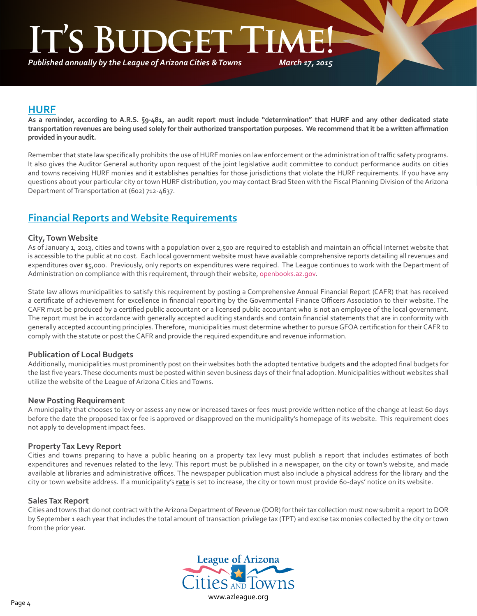# **ITE**

*Published annually by the League of Arizona Cities & Towns*

*March 17, 2015*

#### **HURF**

٦

**As a reminder, according to A.R.S. §9-481, an audit report must include "determination" that HURF and any other dedicated state transportation revenues are being used solely for their authorized transportation purposes. We recommend that it be a written affirmation provided in your audit.**

Remember that state law specifically prohibits the use of HURF monies on law enforcement or the administration of traffic safety programs. It also gives the Auditor General authority upon request of the joint legislative audit committee to conduct performance audits on cities and towns receiving HURF monies and it establishes penalties for those jurisdictions that violate the HURF requirements. If you have any questions about your particular city or town HURF distribution, you may contact Brad Steen with the Fiscal Planning Division of the Arizona Department of Transportation at (602) 712-4637.

### **Financial Reports and Website Requirements**

#### **City, Town Website**

As of January 1, 2013, cities and towns with a population over 2,500 are required to establish and maintain an official Internet website that is accessible to the public at no cost. Each local government website must have available comprehensive reports detailing all revenues and expenditures over \$5,000. Previously, only reports on expenditures were required. The League continues to work with the Department of Administration on compliance with this requirement, through their website, [openbooks.az.gov](http://openbooks.az.gov).

State law allows municipalities to satisfy this requirement by posting a Comprehensive Annual Financial Report (CAFR) that has received a certificate of achievement for excellence in financial reporting by the Governmental Finance Officers Association to their website. The CAFR must be produced by a certified public accountant or a licensed public accountant who is not an employee of the local government. The report must be in accordance with generally accepted auditing standards and contain financial statements that are in conformity with generally accepted accounting principles. Therefore, municipalities must determine whether to pursue GFOA certification for their CAFR to comply with the statute or post the CAFR and provide the required expenditure and revenue information.

#### **Publication of Local Budgets**

Additionally, municipalities must prominently post on their websites both the adopted tentative budgets **and** the adopted final budgets for the last five years. These documents must be posted within seven business days of their final adoption. Municipalities without websites shall utilize the website of the League of Arizona Cities and Towns.

#### **New Posting Requirement**

A municipality that chooses to levy or assess any new or increased taxes or fees must provide written notice of the change at least 60 days before the date the proposed tax or fee is approved or disapproved on the municipality's homepage of its website. This requirement does not apply to development impact fees.

#### **Property Tax Levy Report**

Cities and towns preparing to have a public hearing on a property tax levy must publish a report that includes estimates of both expenditures and revenues related to the levy. This report must be published in a newspaper, on the city or town's website, and made available at libraries and administrative offices. The newspaper publication must also include a physical address for the library and the city or town website address. If a municipality's **rate** is set to increase, the city or town must provide 60-days' notice on its website.

#### **Sales Tax Report**

Cities and towns that do not contract with the Arizona Department of Revenue (DOR) for their tax collection must now submit a report to DOR by September 1 each year that includes the total amount of transaction privilege tax (TPT) and excise tax monies collected by the city or town from the prior year.

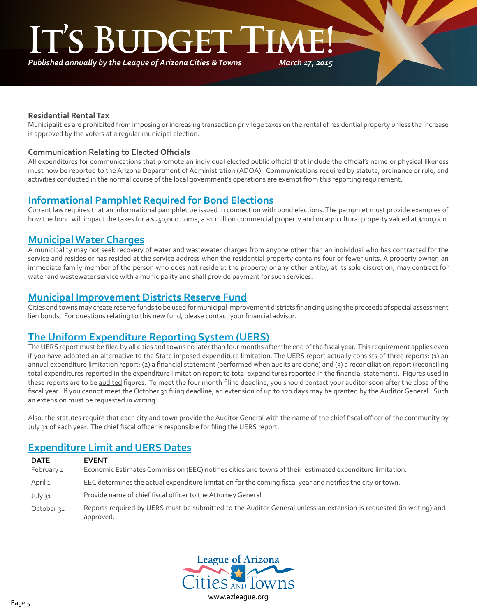*Published annually by the League of Arizona Cities & Towns*

*March 17, 2015*

#### **Residential Rental Tax**

٦

Municipalities are prohibited from imposing or increasing transaction privilege taxes on the rental of residential property unless the increase is approved by the voters at a regular municipal election.

#### **Communication Relating to Elected Officials**

All expenditures for communications that promote an individual elected public official that include the official's name or physical likeness must now be reported to the Arizona Department of Administration (ADOA). Communications required by statute, ordinance or rule, and activities conducted in the normal course of the local government's operations are exempt from this reporting requirement.

### **Informational Pamphlet Required for Bond Elections**

Current law requires that an informational pamphlet be issued in connection with bond elections. The pamphlet must provide examples of how the bond will impact the taxes for a \$250,000 home, a \$1 million commercial property and on agricultural property valued at \$100,000.

#### **Municipal Water Charges**

A municipality may not seek recovery of water and wastewater charges from anyone other than an individual who has contracted for the service and resides or has resided at the service address when the residential property contains four or fewer units. A property owner, an immediate family member of the person who does not reside at the property or any other entity, at its sole discretion, may contract for water and wastewater service with a municipality and shall provide payment for such services.

#### **Municipal Improvement Districts Reserve Fund**

Cities and towns may create reserve funds to be used for municipal improvement districts financing using the proceeds of special assessment lien bonds. For questions relating to this new fund, please contact your financial advisor.

#### **The Uniform Expenditure Reporting System (UERS)**

The UERS report must be filed by all cities and towns no later than four months after the end of the fiscal year. This requirement applies even if you have adopted an alternative to the State imposed expenditure limitation. The UERS report actually consists of three reports: (1) an annual expenditure limitation report; (2) a financial statement (performed when audits are done) and (3) a reconciliation report (reconciling total expenditures reported in the expenditure limitation report to total expenditures reported in the financial statement). Figures used in these reports are to be audited figures. To meet the four month filing deadline, you should contact your auditor soon after the close of the fiscal year. If you cannot meet the October 31 filing deadline, an extension of up to 120 days may be granted by the Auditor General. Such an extension must be requested in writing.

Also, the statutes require that each city and town provide the Auditor General with the name of the chief fiscal officer of the community by July 31 of each year. The chief fiscal officer is responsible for filing the UERS report.

### **Expenditure Limit and UERS Dates**

| <b>DATE</b><br>February 1 | <b>EVENT</b><br>Economic Estimates Commission (EEC) notifies cities and towns of their estimated expenditure limitation.         |
|---------------------------|----------------------------------------------------------------------------------------------------------------------------------|
| April 1                   | EEC determines the actual expenditure limitation for the coming fiscal year and notifies the city or town.                       |
| July 31                   | Provide name of chief fiscal officer to the Attorney General                                                                     |
| October 31                | Reports required by UERS must be submitted to the Auditor General unless an extension is requested (in writing) and<br>approved. |

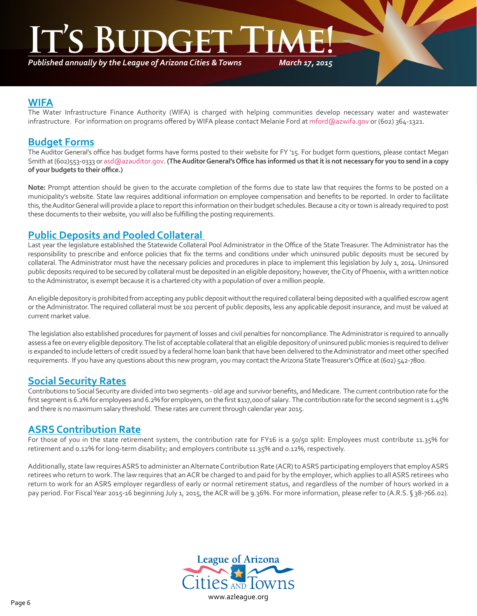*Published annually by the League of Arizona Cities & Towns*

*March 17, 2015*

#### **WIFA**

٦

The Water Infrastructure Finance Authority (WIFA) is charged with helping communities develop necessary water and wastewater infrastructure. For information on programs offered by WIFA please contact Melanie Ford at mford@azwifa.gov or (602) 364-1321.

#### **Budget Forms**

The Auditor General's office has budget forms have forms posted to their website for FY '15. For budget form questions, please contact Megan Smith at (602)553-0333 or asd@azauditor.gov. **(The Auditor General's Office has informed us that it is not necessary for you to send in a copy of your budgets to their office.)**

**Note:** Prompt attention should be given to the accurate completion of the forms due to state law that requires the forms to be posted on a municipality's website. State law requires additional information on employee compensation and benefits to be reported. In order to facilitate this, the Auditor General will provide a place to report this information on their budget schedules. Because a city or town is already required to post these documents to their website, you will also be fulfilling the posting requirements.

#### **Public Deposits and Pooled Collateral**

Last year the legislature established the Statewide Collateral Pool Administrator in the Office of the State Treasurer. The Administrator has the responsibility to prescribe and enforce policies that fix the terms and conditions under which uninsured public deposits must be secured by collateral. The Administrator must have the necessary policies and procedures in place to implement this legislation by July 1, 2014. Uninsured public deposits required to be secured by collateral must be deposited in an eligible depository; however, the City of Phoenix, with a written notice to the Administrator, is exempt because it is a chartered city with a population of over a million people.

An eligible depository is prohibited from accepting any public deposit without the required collateral being deposited with a qualified escrow agent or the Administrator. The required collateral must be 102 percent of public deposits, less any applicable deposit insurance, and must be valued at current market value.

The legislation also established procedures for payment of losses and civil penalties for noncompliance. The Administrator is required to annually assess a fee on every eligible depository. The list of acceptable collateral that an eligible depository of uninsured public monies is required to deliver is expanded to include letters of credit issued by a federal home loan bank that have been delivered to the Administrator and meet other specified requirements. If you have any questions about this new program, you may contact the Arizona State Treasurer's Office at (602) 542-7800.

### **Social Security Rates**

Contributions to Social Security are divided into two segments - old age and survivor benefits, and Medicare. The current contribution rate for the first segment is 6.2% for employees and 6.2% for employers, on the first \$117,000 of salary. The contribution rate for the second segment is 1.45% and there is no maximum salary threshold. These rates are current through calendar year 2015.

#### **ASRS Contribution Rate**

For those of you in the state retirement system, the contribution rate for FY16 is a 50/50 split: Employees must contribute 11.35% for retirement and 0.12% for long-term disability; and employers contribute 11.35% and 0.12%, respectively.

Additionally, state law requires ASRS to administer an Alternate Contribution Rate (ACR) to ASRS participating employers that employ ASRS retirees who return to work. The law requires that an ACR be charged to and paid for by the employer, which applies to all ASRS retirees who return to work for an ASRS employer regardless of early or normal retirement status, and regardless of the number of hours worked in a pay period. For Fiscal Year 2015-16 beginning July 1, 2015, the ACR will be 9.36%. For more information, please refer to (A.R.S. § 38-766.02).

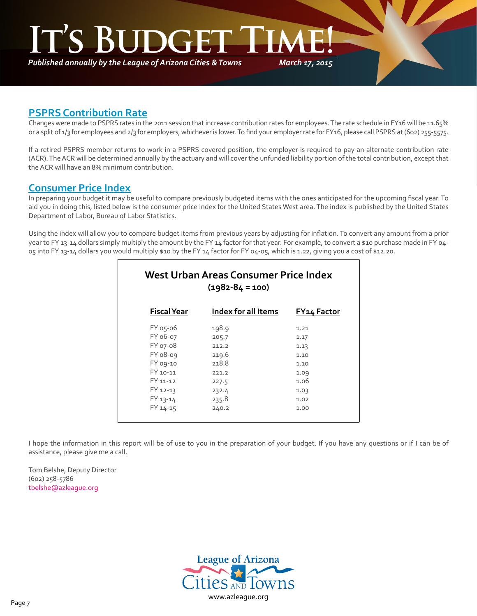*Published annually by the League of Arizona Cities & Towns*

*March 17, 2015*

#### **PSPRS Contribution Rate**

٦

Changes were made to PSPRS rates in the 2011 session that increase contribution rates for employees. The rate schedule in FY16 will be 11.65% or a split of 1/3 for employees and 2/3 for employers, whichever is lower. To find your employer rate for FY16, please call PSPRS at (602) 255-5575.

If a retired PSPRS member returns to work in a PSPRS covered position, the employer is required to pay an alternate contribution rate (ACR). The ACR will be determined annually by the actuary and will cover the unfunded liability portion of the total contribution, except that the ACR will have an 8% minimum contribution.

#### **Consumer Price Index**

In preparing your budget it may be useful to compare previously budgeted items with the ones anticipated for the upcoming fiscal year. To aid you in doing this, listed below is the consumer price index for the United States West area. The index is published by the United States Department of Labor, Bureau of Labor Statistics.

Using the index will allow you to compare budget items from previous years by adjusting for inflation. To convert any amount from a prior year to FY 13-14 dollars simply multiply the amount by the FY 14 factor for that year. For example, to convert a \$10 purchase made in FY 04-05 into FY 13-14 dollars you would multiply \$10 by the FY 14 factor for FY 04-05, which is 1.22, giving you a cost of \$12.20.

| West Urban Areas Consumer Price Index<br>$(1982 - 84 = 100)$ |                     |                    |  |  |  |
|--------------------------------------------------------------|---------------------|--------------------|--|--|--|
| <b>Fiscal Year</b>                                           | Index for all Items | <b>FY14 Factor</b> |  |  |  |
| FY 05-06                                                     | 198.9               | 1.21               |  |  |  |
| FY 06-07                                                     | 205.7               | 1.17               |  |  |  |
| FY 07-08                                                     | 212.2               | 1.13               |  |  |  |
| FY 08-09                                                     | 219.6               | 1.10               |  |  |  |
| FY 09-10                                                     | 218.8               | 1.10               |  |  |  |
| FY 10-11                                                     | 221.2               | 1.09               |  |  |  |
| FY 11-12                                                     | 227.5               | 1.06               |  |  |  |
| FY 12-13                                                     | 232.4               | 1.03               |  |  |  |
| FY 13-14                                                     | 235.8               | 1.02               |  |  |  |
| FY 14-15                                                     | 240.2               | 1.00               |  |  |  |

I hope the information in this report will be of use to you in the preparation of your budget. If you have any questions or if I can be of assistance, please give me a call.

Tom Belshe, Deputy Director (602) 258-5786 [tbelshe@azleague.org](mailto:tbelshe@azleague.org)

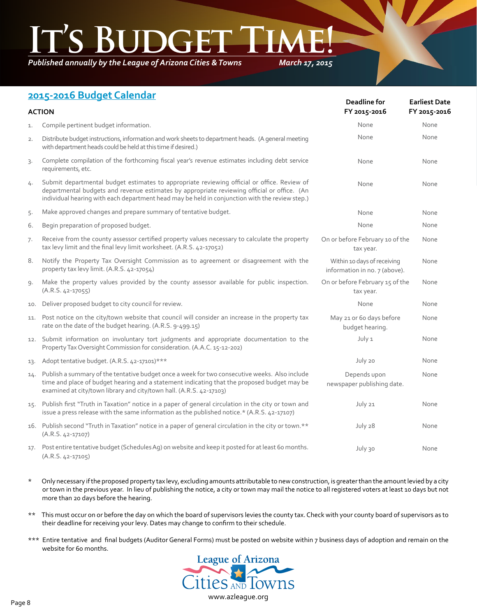*Published annually by the League of Arizona Cities & Towns*

*March 17, 2015*

## **2015-2016 Budget Calendar**

| <b>ACTION</b> |                                                                                                                                                                                                                                                                                              | Deadline for<br>FY 2015-2016                                 | <b>Earliest Date</b><br>FY 2015-2016 |
|---------------|----------------------------------------------------------------------------------------------------------------------------------------------------------------------------------------------------------------------------------------------------------------------------------------------|--------------------------------------------------------------|--------------------------------------|
| 1.            | Compile pertinent budget information.                                                                                                                                                                                                                                                        | None                                                         | None                                 |
| 2.            | Distribute budget instructions, information and work sheets to department heads. (A general meeting<br>with department heads could be held at this time if desired.)                                                                                                                         | None                                                         | None                                 |
| 3.            | Complete compilation of the forthcoming fiscal year's revenue estimates including debt service<br>requirements, etc.                                                                                                                                                                         | None                                                         | None                                 |
| 4.            | Submit departmental budget estimates to appropriate reviewing official or office. Review of<br>departmental budgets and revenue estimates by appropriate reviewing official or office. (An<br>individual hearing with each department head may be held in conjunction with the review step.) | None                                                         | None                                 |
| 5.            | Make approved changes and prepare summary of tentative budget.                                                                                                                                                                                                                               | None                                                         | None                                 |
| 6.            | Begin preparation of proposed budget.                                                                                                                                                                                                                                                        | None                                                         | None                                 |
| 7.            | Receive from the county assessor certified property values necessary to calculate the property<br>tax levy limit and the final levy limit worksheet. (A.R.S. 42-17052)                                                                                                                       | On or before February 10 of the<br>tax year.                 | None                                 |
| 8.            | Notify the Property Tax Oversight Commission as to agreement or disagreement with the<br>property tax levy limit. (A.R.S. 42-17054)                                                                                                                                                          | Within 10 days of receiving<br>information in no. 7 (above). | None                                 |
| 9.            | Make the property values provided by the county assessor available for public inspection.<br>$(A.R.S. 42-17055)$                                                                                                                                                                             | On or before February 15 of the<br>tax year.                 | None                                 |
| 10.           | Deliver proposed budget to city council for review.                                                                                                                                                                                                                                          | None                                                         | None                                 |
| 11.           | Post notice on the city/town website that council will consider an increase in the property tax<br>rate on the date of the budget hearing. (A.R.S. 9-499.15)                                                                                                                                 | May 21 or 60 days before<br>budget hearing.                  | None                                 |
|               | 12. Submit information on involuntary tort judgments and appropriate documentation to the<br>Property Tax Oversight Commission for consideration. (A.A.C. 15-12-202)                                                                                                                         | July 1                                                       | None                                 |
| 13.           | Adopt tentative budget. (A.R.S. 42-17101)***                                                                                                                                                                                                                                                 | July 20                                                      | None                                 |
| 14.           | Publish a summary of the tentative budget once a week for two consecutive weeks. Also include<br>time and place of budget hearing and a statement indicating that the proposed budget may be<br>examined at city/town library and city/town hall. (A.R.S. 42-17103)                          | Depends upon<br>newspaper publishing date.                   | None                                 |
|               | 15. Publish first "Truth in Taxation" notice in a paper of general circulation in the city or town and<br>issue a press release with the same information as the published notice.* (A.R.S. 42-17107)                                                                                        | July 21                                                      | None                                 |
|               | 16. Publish second "Truth in Taxation" notice in a paper of general circulation in the city or town.**<br>$(A.R.S. 42-17107)$                                                                                                                                                                | July 28                                                      | None                                 |
|               | 17. Post entire tentative budget (Schedules Ag) on website and keep it posted for at least 60 months.<br>$(A.R.S. 42-17105)$                                                                                                                                                                 | July 30                                                      | None                                 |

- \* Only necessary if the proposed property tax levy, excluding amounts attributable to new construction, is greater than the amount levied by a city or town in the previous year. In lieu of publishing the notice, a city or town may mail the notice to all registered voters at least 10 days but not more than 20 days before the hearing.
- \*\* This must occur on or before the day on which the board of supervisors levies the county tax. Check with your county board of supervisors as to their deadline for receiving your levy. Dates may change to confirm to their schedule.
- \*\*\* Entire tentative and final budgets (Auditor General Forms) must be posted on website within 7 business days of adoption and remain on the website for 60 months.